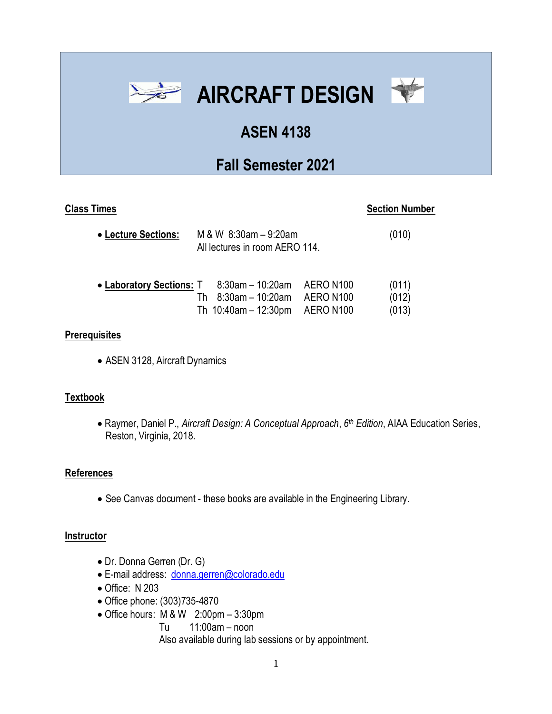



# **ASEN 4138**

# **Fall Semester 2021**

## **Class Times** Section Number

| • Lecture Sections:                                 | M & W $8:30$ am $-9:20$ am<br>All lectures in room AERO 114. |                            |  | (010)          |
|-----------------------------------------------------|--------------------------------------------------------------|----------------------------|--|----------------|
| • Laboratory Sections: T 8:30am - 10:20am AERO N100 |                                                              | 8:30am - 10:20am AERO N100 |  | (011)<br>(012) |

#### **Prerequisites**

• ASEN 3128, Aircraft Dynamics

### **Textbook**

• Raymer, Daniel P., *Aircraft Design: A Conceptual Approach*, *6 th Edition*, AIAA Education Series, Reston, Virginia, 2018.

Th 10:40am – 12:30pm AERO N100 (013)

### **References**

• See Canvas document - these books are available in the Engineering Library.

#### **Instructor**

- Dr. Donna Gerren (Dr. G)
- E-mail address: [donna.gerren@colorado.edu](mailto:donna.gerren@colorado.edu)
- Office: N 203
- Office phone: (303)735-4870
- Office hours: M & W 2:00pm 3:30pm
	- Tu 11:00am noon

Also available during lab sessions or by appointment.